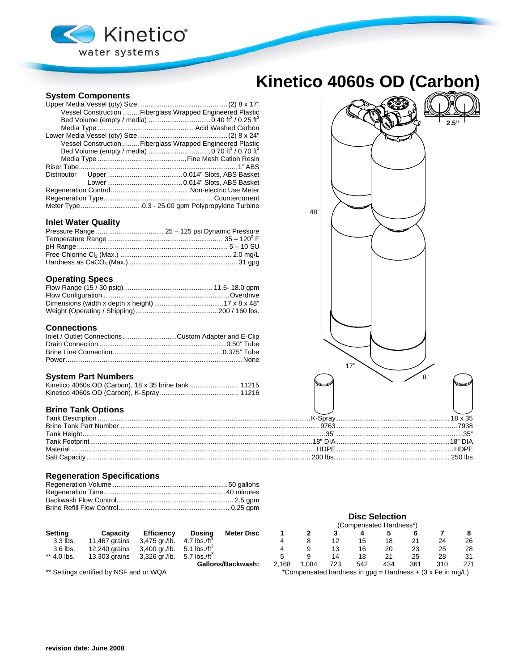

## **Kinetico 4060s OD (Carbon)**

## **System Components**

|  | Vessel Construction  Fiberglass Wrapped Engineered Plastic |     |
|--|------------------------------------------------------------|-----|
|  |                                                            |     |
|  |                                                            |     |
|  |                                                            |     |
|  | Vessel Construction  Fiberglass Wrapped Engineered Plastic |     |
|  |                                                            |     |
|  |                                                            |     |
|  |                                                            |     |
|  |                                                            |     |
|  |                                                            |     |
|  |                                                            |     |
|  |                                                            |     |
|  |                                                            |     |
|  |                                                            | 48" |

#### **Inlet Water Quality**

#### **Operating Specs**

## **Connections**

| Inlet / Outlet ConnectionsCustom Adapter and E-Clip |  |
|-----------------------------------------------------|--|
|                                                     |  |
|                                                     |  |
|                                                     |  |

#### **System Part Numbers**

## **Brine Tank Options**

|          | 7938 |
|----------|------|
|          |      |
|          |      |
| Material | HDPE |
|          |      |

#### **Regeneration Specifications**

|                                         |               |                   |                          |                                                              | (Compensated Hardness*) |      |     |     |     |     |     |     |
|-----------------------------------------|---------------|-------------------|--------------------------|--------------------------------------------------------------|-------------------------|------|-----|-----|-----|-----|-----|-----|
| <b>Setting</b>                          | Capacity      | <b>Efficiency</b> | Dosina                   | <b>Meter Disc</b>                                            |                         |      |     |     |     |     |     |     |
| 3.3 lbs.                                | 11.467 grains | 3,475 gr./lb.     | 4.7 lbs./ft <sup>3</sup> |                                                              |                         |      | 12  | 15  | 18  | 21  | 24  | 26  |
| 3.6 lbs.                                | 12,240 grains | 3,400 gr./lb.     | 5.1 lbs./ft $^{\circ}$   |                                                              |                         |      | 13  | 16  | 20  | 23  | 25  | 28  |
| ** 4.0 lbs.                             | 13,303 grains | 3,326 gr./lb.     | 5.7 lbs./ft $^{\circ}$   |                                                              |                         |      | 14  | 18  | 21  | 25  | 28  | 31  |
|                                         |               |                   |                          | Gallons/Backwash:                                            | 2.168                   | .084 | 723 | 542 | 434 | 361 | 310 | 271 |
| ** Settings certified by NSF and or WQA |               |                   |                          | *Compensated hardness in $qpq =$ Hardness + (3 x Fe in mq/L) |                         |      |     |     |     |     |     |     |



**Disc Selection**